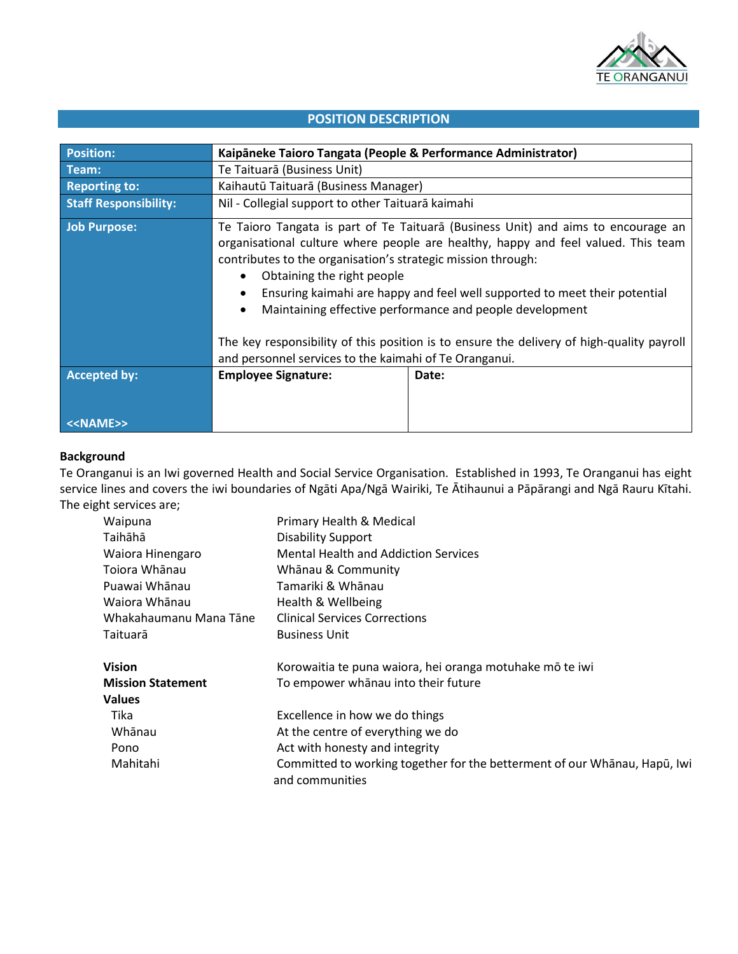

# **POSITION DESCRIPTION**

| <b>Position:</b>             | Kaipāneke Taioro Tangata (People & Performance Administrator)                                                                                                                                                                                                                                                                                                                                                                            |       |
|------------------------------|------------------------------------------------------------------------------------------------------------------------------------------------------------------------------------------------------------------------------------------------------------------------------------------------------------------------------------------------------------------------------------------------------------------------------------------|-------|
| Team:                        | Te Taituarā (Business Unit)                                                                                                                                                                                                                                                                                                                                                                                                              |       |
| <b>Reporting to:</b>         | Kaihautū Taituarā (Business Manager)                                                                                                                                                                                                                                                                                                                                                                                                     |       |
| <b>Staff Responsibility:</b> | Nil - Collegial support to other Taituarā kaimahi                                                                                                                                                                                                                                                                                                                                                                                        |       |
| Job Purpose:                 | Te Taioro Tangata is part of Te Taituarā (Business Unit) and aims to encourage an<br>organisational culture where people are healthy, happy and feel valued. This team<br>contributes to the organisation's strategic mission through:<br>Obtaining the right people<br>$\bullet$<br>Ensuring kaimahi are happy and feel well supported to meet their potential<br>Maintaining effective performance and people development<br>$\bullet$ |       |
|                              | The key responsibility of this position is to ensure the delivery of high-quality payroll<br>and personnel services to the kaimahi of Te Oranganui.                                                                                                                                                                                                                                                                                      |       |
| <b>Accepted by:</b>          | <b>Employee Signature:</b>                                                                                                                                                                                                                                                                                                                                                                                                               | Date: |
| < <name>&gt;</name>          |                                                                                                                                                                                                                                                                                                                                                                                                                                          |       |

# **Background**

Te Oranganui is an Iwi governed Health and Social Service Organisation. Established in 1993, Te Oranganui has eight service lines and covers the iwi boundaries of Ngāti Apa/Ngā Wairiki, Te Ātihaunui a Pāpārangi and Ngā Rauru Kītahi. The eight services are;

| Waipuna                  | Primary Health & Medical                                                                     |  |
|--------------------------|----------------------------------------------------------------------------------------------|--|
| Taihāhā                  | <b>Disability Support</b>                                                                    |  |
| Waiora Hinengaro         | <b>Mental Health and Addiction Services</b>                                                  |  |
| Toiora Whānau            | Whānau & Community                                                                           |  |
| Puawai Whānau            | Tamariki & Whānau                                                                            |  |
| Waiora Whānau            | Health & Wellbeing                                                                           |  |
| Whakahaumanu Mana Tāne   | <b>Clinical Services Corrections</b>                                                         |  |
| Taituarā                 | <b>Business Unit</b>                                                                         |  |
|                          |                                                                                              |  |
| <b>Vision</b>            | Korowaitia te puna waiora, hei oranga motuhake mō te iwi                                     |  |
| <b>Mission Statement</b> | To empower whanau into their future                                                          |  |
| <b>Values</b>            |                                                                                              |  |
| Tika                     | Excellence in how we do things                                                               |  |
| Whānau                   | At the centre of everything we do                                                            |  |
| Pono                     | Act with honesty and integrity                                                               |  |
| Mahitahi                 | Committed to working together for the betterment of our Whanau, Hapū, Iwi<br>and communities |  |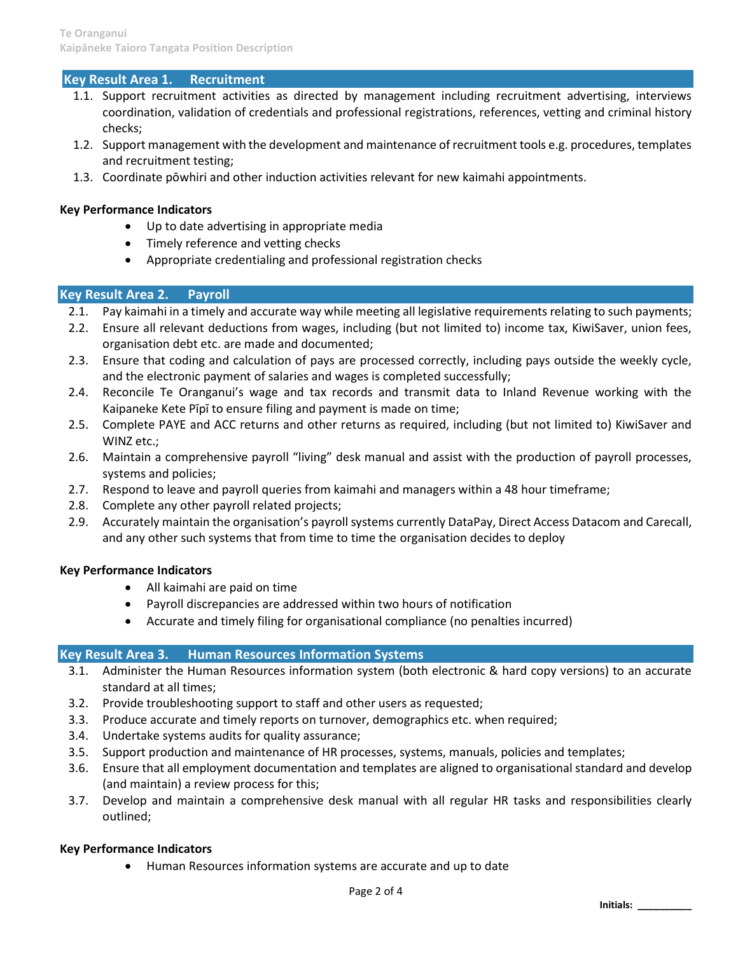# **Key Result Area 1. Recruitment**

- 1.1. Support recruitment activities as directed by management including recruitment advertising, interviews coordination, validation of credentials and professional registrations, references, vetting and criminal history checks;
- 1.2. Support management with the development and maintenance of recruitment tools e.g. procedures, templates and recruitment testing;
- 1.3. Coordinate pōwhiri and other induction activities relevant for new kaimahi appointments.

### **Key Performance Indicators**

- Up to date advertising in appropriate media
- Timely reference and vetting checks
- Appropriate credentialing and professional registration checks

## **Key Result Area 2. Payroll**

- 2.1. Pay kaimahi in a timely and accurate way while meeting all legislative requirements relating to such payments;
- 2.2. Ensure all relevant deductions from wages, including (but not limited to) income tax, KiwiSaver, union fees, organisation debt etc. are made and documented;
- 2.3. Ensure that coding and calculation of pays are processed correctly, including pays outside the weekly cycle, and the electronic payment of salaries and wages is completed successfully;
- 2.4. Reconcile Te Oranganui's wage and tax records and transmit data to Inland Revenue working with the Kaipaneke Kete Pīpī to ensure filing and payment is made on time;
- 2.5. Complete PAYE and ACC returns and other returns as required, including (but not limited to) KiwiSaver and WINZ etc.;
- 2.6. Maintain a comprehensive payroll "living" desk manual and assist with the production of payroll processes, systems and policies;
- 2.7. Respond to leave and payroll queries from kaimahi and managers within a 48 hour timeframe;
- 2.8. Complete any other payroll related projects;
- 2.9. Accurately maintain the organisation's payroll systems currently DataPay, Direct Access Datacom and Carecall, and any other such systems that from time to time the organisation decides to deploy

#### **Key Performance Indicators**

- All kaimahi are paid on time
- Payroll discrepancies are addressed within two hours of notification
- Accurate and timely filing for organisational compliance (no penalties incurred)

#### **Key Result Area 3. Human Resources Information Systems**

- 3.1. Administer the Human Resources information system (both electronic & hard copy versions) to an accurate standard at all times;
- 3.2. Provide troubleshooting support to staff and other users as requested;
- 3.3. Produce accurate and timely reports on turnover, demographics etc. when required;
- 3.4. Undertake systems audits for quality assurance;
- 3.5. Support production and maintenance of HR processes, systems, manuals, policies and templates;
- 3.6. Ensure that all employment documentation and templates are aligned to organisational standard and develop (and maintain) a review process for this;
- 3.7. Develop and maintain a comprehensive desk manual with all regular HR tasks and responsibilities clearly outlined;

# **Key Performance Indicators**

• Human Resources information systems are accurate and up to date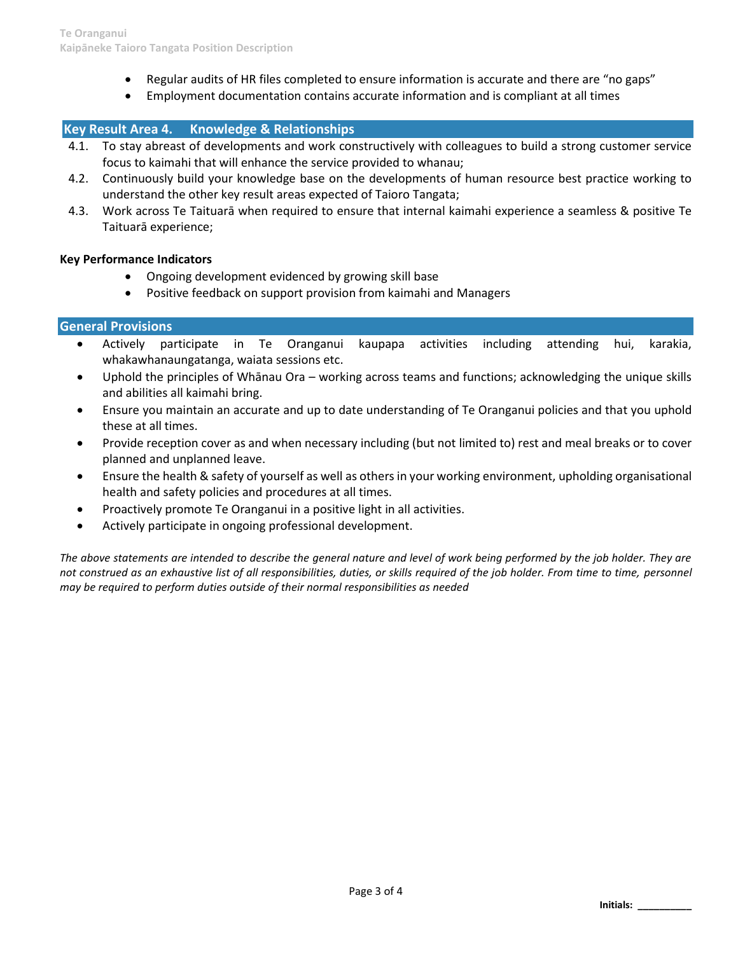- Regular audits of HR files completed to ensure information is accurate and there are "no gaps"
- Employment documentation contains accurate information and is compliant at all times

# **Key Result Area 4. Knowledge & Relationships**

- 4.1. To stay abreast of developments and work constructively with colleagues to build a strong customer service focus to kaimahi that will enhance the service provided to whanau;
- 4.2. Continuously build your knowledge base on the developments of human resource best practice working to understand the other key result areas expected of Taioro Tangata;
- 4.3. Work across Te Taituarā when required to ensure that internal kaimahi experience a seamless & positive Te Taituarā experience;

## **Key Performance Indicators**

- Ongoing development evidenced by growing skill base
- Positive feedback on support provision from kaimahi and Managers

## **General Provisions**

- Actively participate in Te Oranganui kaupapa activities including attending hui, karakia, whakawhanaungatanga, waiata sessions etc.
- Uphold the principles of Whānau Ora working across teams and functions; acknowledging the unique skills and abilities all kaimahi bring.
- Ensure you maintain an accurate and up to date understanding of Te Oranganui policies and that you uphold these at all times.
- Provide reception cover as and when necessary including (but not limited to) rest and meal breaks or to cover planned and unplanned leave.
- Ensure the health & safety of yourself as well as others in your working environment, upholding organisational health and safety policies and procedures at all times.
- Proactively promote Te Oranganui in a positive light in all activities.
- Actively participate in ongoing professional development.

*The above statements are intended to describe the general nature and level of work being performed by the job holder. They are not construed as an exhaustive list of all responsibilities, duties, or skills required of the job holder. From time to time, personnel may be required to perform duties outside of their normal responsibilities as needed*